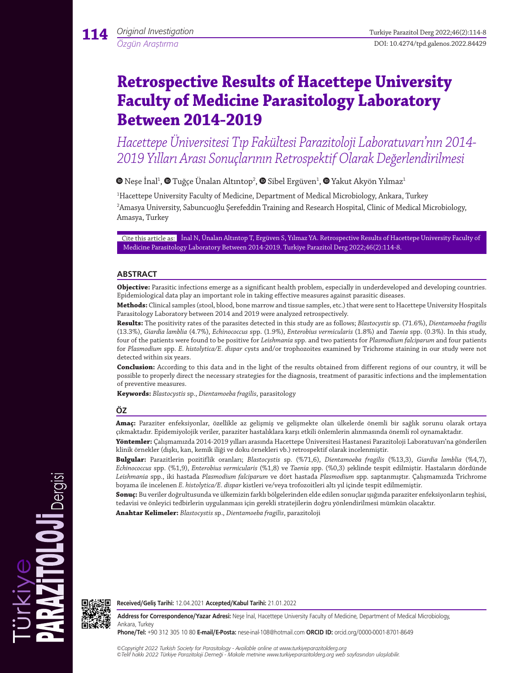# **Retrospective Results of Hacettepe University Faculty of Medicine Parasitology Laboratory Between 2014-2019**

*Hacettepe Üniversitesi Tıp Fakültesi Parazitoloji Laboratuvarı'nın 2014- 2019 Yılları Arası Sonuçlarının Retrospektif Olarak Değerlendirilmesi* 

Neşeİnal<sup>1</sup>,  $\bullet$  Tuğçe Ünalan Altıntop<sup>2</sup>,  $\bullet$  Sibel Ergüven<sup>1</sup>,  $\bullet$  [Y](https://orcid.org/0000-0002-0919-5508)akut Akyön Yılmaz<sup>1</sup>

1 Hacettepe University Faculty of Medicine, Department of Medical Microbiology, Ankara, Turkey 2 Amasya University, Sabuncuoğlu Şerefeddin Training and Research Hospital, Clinic of Medical Microbiology, Amasya, Turkey

Cite this article as: İnal N, Ünalan Altıntop T, Ergüven S, Yılmaz YA. Retrospective Results of Hacettepe University Faculty of Medicine Parasitology Laboratory Between 2014-2019. Turkiye Parazitol Derg 2022;46(2):114-8.

## **ABSTRACT**

**Objective:** Parasitic infections emerge as a significant health problem, especially in underdeveloped and developing countries. Epidemiological data play an important role in taking effective measures against parasitic diseases.

**Methods:** Clinical samples (stool, blood, bone marrow and tissue samples, etc.) that were sent to Hacettepe University Hospitals Parasitology Laboratory between 2014 and 2019 were analyzed retrospectively.

**Results:** The positivity rates of the parasites detected in this study are as follows; *Blastocystis* sp. (71.6%), *Dientamoeba fragilis* (13.3%), *Giardia lamblia* (4.7%), *Echinococcus* spp. (1.9%), *Enterobius vermicularis* (1.8%) and *Taenia* spp. (0.3%). In this study, four of the patients were found to be positive for *Leishmania* spp. and two patients for *Plasmodium falciparum* and four patients for *Plasmodium* spp. *E. histolytica/E. dispar* cysts and/or trophozoites examined by Trichrome staining in our study were not detected within six years.

**Conclusion:** According to this data and in the light of the results obtained from different regions of our country, it will be possible to properly direct the necessary strategies for the diagnosis, treatment of parasitic infections and the implementation of preventive measures.

**Keywords:** *Blastocystis* sp., *Dientamoeba fragilis*, parasitology

## **ÖZ**

**Amaç:** Paraziter enfeksiyonlar, özellikle az gelişmiş ve gelişmekte olan ülkelerde önemli bir sağlık sorunu olarak ortaya çıkmaktadır. Epidemiyolojik veriler, paraziter hastalıklara karşı etkili önlemlerin alınmasında önemli rol oynamaktadır.

**Yöntemler:** Çalışmamızda 2014-2019 yılları arasında Hacettepe Üniversitesi Hastanesi Parazitoloji Laboratuvarı'na gönderilen klinik örnekler (dışkı, kan, kemik iliği ve doku örnekleri vb.) retrospektif olarak incelenmiştir.

**Bulgular:** Parazitlerin pozitiflik oranları; *Blastocystis* sp. (%71,6), *Dientamoeba fragilis* (%13,3), *Giardia lamblia* (%4,7), *Echinococcus* spp. (%1,9), *Enterobius vermicularis* (%1,8) ve *Taenia* spp. (%0,3) şeklinde tespit edilmiştir. Hastaların dördünde *Leishmania* spp., iki hastada *Plasmodium falciparum* ve dört hastada *Plasmodium* spp. saptanmıştır. Çalışmamızda Trichrome boyama ile incelenen *E. histolytica/E. dispar* kistleri ve/veya trofozoitleri altı yıl içinde tespit edilmemiştir.

**Sonuç:** Bu veriler doğrultusunda ve ülkemizin farklı bölgelerinden elde edilen sonuçlar ışığında paraziter enfeksiyonların teşhisi, tedavisi ve önleyici tedbirlerin uygulanması için gerekli stratejilerin doğru yönlendirilmesi mümkün olacaktır.

**Anahtar Kelimeler:** *Blastocystis* sp., *Dientamoeba fragilis*, parazitoloji



Dergisi

**Received/Geliş Tarihi:** 12.04.2021 **Accepted/Kabul Tarihi:** 21.01.2022

**Address for Correspondence/Yazar Adresi:** Neşe İnal, Hacettepe University Faculty of Medicine, Department of Medical Microbiology, Ankara, Turkey

**Phone/Tel:** +90 312 305 10 80 **E-mail/E-Posta:** nese-inal-108@hotmail.com **ORCID ID:** orcid.org/0000-0001-8701-8649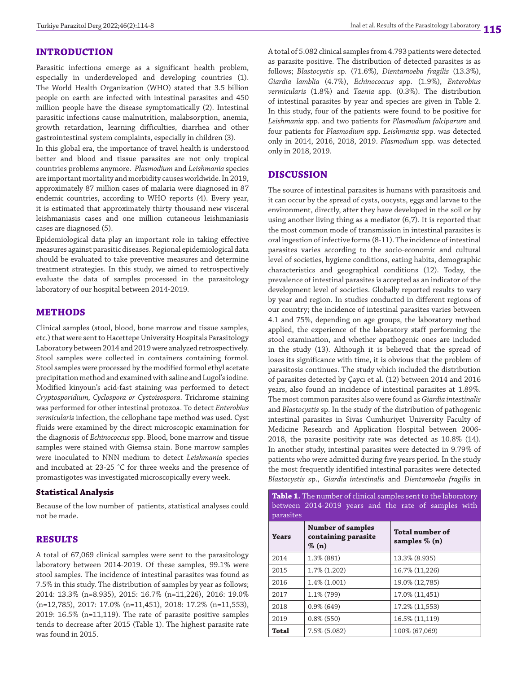## **INTRODUCTION**

Parasitic infections emerge as a significant health problem, especially in underdeveloped and developing countries (1). The World Health Organization (WHO) stated that 3.5 billion people on earth are infected with intestinal parasites and 450 million people have the disease symptomatically (2). Intestinal parasitic infections cause malnutrition, malabsorption, anemia, growth retardation, learning difficulties, diarrhea and other gastrointestinal system complaints, especially in children (3).

In this global era, the importance of travel health is understood better and blood and tissue parasites are not only tropical countries problems anymore. *Plasmodium* and *Leishmania* species are important mortality and morbidity causes worldwide. In 2019, approximately 87 million cases of malaria were diagnosed in 87 endemic countries, according to WHO reports (4). Every year, it is estimated that approximately thirty thousand new visceral leishmaniasis cases and one million cutaneous leishmaniasis cases are diagnosed (5).

Epidemiological data play an important role in taking effective measures against parasitic diseases. Regional epidemiological data should be evaluated to take preventive measures and determine treatment strategies. In this study, we aimed to retrospectively evaluate the data of samples processed in the parasitology laboratory of our hospital between 2014-2019.

## **METHODS**

Clinical samples (stool, blood, bone marrow and tissue samples, etc.) that were sent to Hacettepe University Hospitals Parasitology Laboratory between 2014 and 2019 were analyzed retrospectively. Stool samples were collected in containers containing formol. Stool samples were processed by the modified formol ethyl acetate precipitation method and examined with saline and Lugol's iodine. Modified kinyoun's acid-fast staining was performed to detect *Cryptosporidium, Cyclospora or Cystoisospora*. Trichrome staining was performed for other intestinal protozoa. To detect *Enterobius vermicularis* infection, the cellophane tape method was used. Cyst fluids were examined by the direct microscopic examination for the diagnosis of *Echinococcus* spp. Blood, bone marrow and tissue samples were stained with Giemsa stain. Bone marrow samples were inoculated to NNN medium to detect *Leishmania* species and incubated at 23-25 °C for three weeks and the presence of promastigotes was investigated microscopically every week.

## **Statistical Analysis**

Because of the low number of patients, statistical analyses could not be made.

## **RESULTS**

A total of 67,069 clinical samples were sent to the parasitology laboratory between 2014-2019. Of these samples, 99.1% were stool samples. The incidence of intestinal parasites was found as 7.5% in this study. The distribution of samples by year as follows; 2014: 13.3% (n=8.935), 2015: 16.7% (n=11,226), 2016: 19.0% (n=12,785), 2017: 17.0% (n=11,451), 2018: 17.2% (n=11,553), 2019: 16.5% (n=11,119). The rate of parasite positive samples tends to decrease after 2015 (Table 1). The highest parasite rate was found in 2015.

A total of 5.082 clinical samples from 4.793 patients were detected as parasite positive. The distribution of detected parasites is as follows; *Blastocystis* sp*.* (71.6%)*, Dientamoeba fragilis* (13.3%), *Giardia lamblia* (4.7%), *Echinococcus* spp. (1.9%), *Enterobius vermicularis* (1.8%) and *Taenia* spp. (0.3%). The distribution of intestinal parasites by year and species are given in Table 2. In this study, four of the patients were found to be positive for *Leishmania* spp. and two patients for *Plasmodium falciparum* and four patients for *Plasmodium* spp. *Leishmania* spp. was detected only in 2014, 2016, 2018, 2019. *Plasmodium* spp. was detected only in 2018, 2019.

#### **DISCUSSION**

The source of intestinal parasites is humans with parasitosis and it can occur by the spread of cysts, oocysts, eggs and larvae to the environment, directly, after they have developed in the soil or by using another living thing as a mediator (6,7). It is reported that the most common mode of transmission in intestinal parasites is oral ingestion of infective forms (8-11). The incidence of intestinal parasites varies according to the socio-economic and cultural level of societies, hygiene conditions, eating habits, demographic characteristics and geographical conditions (12). Today, the prevalence of intestinal parasites is accepted as an indicator of the development level of societies. Globally reported results to vary by year and region. In studies conducted in different regions of our country; the incidence of intestinal parasites varies between 4.1 and 75%, depending on age groups, the laboratory method applied, the experience of the laboratory staff performing the stool examination, and whether apathogenic ones are included in the study (13). Although it is believed that the spread of loses its significance with time, it is obvious that the problem of parasitosis continues. The study which included the distribution of parasites detected by Çaycı et al. (12) between 2014 and 2016 years, also found an incidence of intestinal parasites at 1.89%. The most common parasites also were found as *Giardia intestinalis* and *Blastocystis* sp. In the study of the distribution of pathogenic intestinal parasites in Sivas Cumhuriyet University Faculty of Medicine Research and Application Hospital between 2006- 2018, the parasite positivity rate was detected as 10.8% (14). In another study, intestinal parasites were detected in 9.79% of patients who were admitted during five years period. In the study the most frequently identified intestinal parasites were detected *Blastocystis* sp., *Giardia intestinalis* and *Dientamoeba fragilis* in

**Table 1.** The number of clinical samples sent to the laboratory between 2014-2019 years and the rate of samples with parasites

| <b>Years</b> | <b>Number of samples</b><br>containing parasite<br>$\%$ (n) | <b>Total number of</b><br>samples $\%$ (n) |  |  |
|--------------|-------------------------------------------------------------|--------------------------------------------|--|--|
| 2014         | 1.3% (881)                                                  | 13.3% (8.935)                              |  |  |
| 2015         | 1.7% (1.202)                                                | 16.7% (11,226)                             |  |  |
| 2016         | $1.4\%$ $(1.001)$                                           | 19.0% (12,785)                             |  |  |
| 2017         | 1.1% (799)                                                  | 17.0% (11,451)                             |  |  |
| 2018         | $0.9\%$ (649)                                               | 17.2% (11,553)                             |  |  |
| 2019         | $0.8\%$ (550)                                               | 16.5% (11,119)                             |  |  |
| <b>Total</b> | $7.5\%$ (5.082)                                             | 100% (67,069)                              |  |  |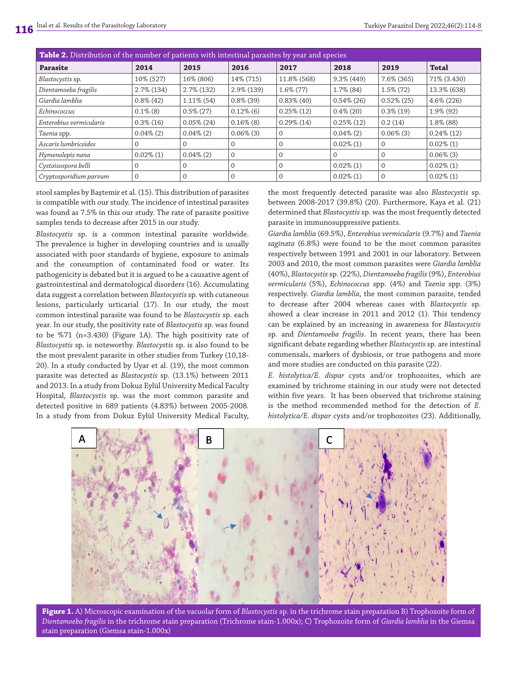| <b>Table 2.</b> Distribution of the number of patients with intestinal parasites by year and species |               |               |               |               |               |               |               |  |  |
|------------------------------------------------------------------------------------------------------|---------------|---------------|---------------|---------------|---------------|---------------|---------------|--|--|
| <b>Parasite</b>                                                                                      | 2014          | 2015          | 2016          | 2017          | 2018          | 2019          | <b>Total</b>  |  |  |
| Blastocystis sp.                                                                                     | 10% (527)     | 16% (806)     | 14% (715)     | 11.8% (568)   | $9.3\%$ (449) | 7.6% (365)    | 71% (3.430)   |  |  |
| Dientamoeba fragilis                                                                                 | $2.7\%$ (134) | $2.7\%$ (132) | $2.9\%$ (139) | $1.6\%$ (77)  | $1.7\%$ (84)  | $1.5\%$ (72)  | 13.3% (638)   |  |  |
| Giardia lamblia                                                                                      | $0.8\%$ (42)  | $1.11\%$ (54) | $0.8\%$ (39)  | $0.83\%$ (40) | $0.54\%$ (26) | $0.52\%$ (25) | 4.6% (226)    |  |  |
| Echinococcus                                                                                         | $0.1\%$ (8)   | $0.5\%$ (27)  | $0.12\%$ (6)  | $0.25\%$ (12) | $0.4\%$ (20)  | $0.3\%$ (19)  | 1.9% (92)     |  |  |
| Enterobius vermicularis                                                                              | $0.3\%$ (16)  | $0.05\%$ (24) | $0.16\%$ (8)  | $0.29\%$ (14) | $0.25\%$ (12) | 0.2(14)       | 1.8% (88)     |  |  |
| Taenia spp.                                                                                          | $0.04\%(2)$   | $0.04\%$ (2)  | $0.06\%$ (3)  | $\Omega$      | $0.04\%$ (2)  | $0.06\%$ (3)  | $0.24\%$ (12) |  |  |
| Ascaris lumbricoides                                                                                 |               | $\Omega$      |               |               | $0.02\%$ (1)  | $\mathbf{0}$  | $0.02\%$ (1)  |  |  |
| Hymenolepis nana                                                                                     | $0.02\%$ (1)  | $0.04\%$ (2)  | $\Omega$      |               | $\Omega$      | $\Omega$      | $0.06\%$ (3)  |  |  |
| Cystoisospora belli                                                                                  |               | $\Omega$      | $\Omega$      |               | $0.02\%$ (1)  | $\mathbf{0}$  | $0.02\%$ (1)  |  |  |
| Cryptosporidium parvum                                                                               | 0             | $\Omega$      |               |               | $0.02\%$ (1)  | $\mathbf{0}$  | $0.02\%$ (1)  |  |  |

stool samples by Baştemir et al. (15). This distribution of parasites is compatible with our study. The incidence of intestinal parasites was found as 7.5% in this our study. The rate of parasite positive samples tends to decrease after 2015 in our study.

*Blastocystis* sp. is a common intestinal parasite worldwide. The prevalence is higher in developing countries and is usually associated with poor standards of hygiene, exposure to animals and the consumption of contaminated food or water. Its pathogenicity is debated but it is argued to be a causative agent of gastrointestinal and dermatological disorders (16). Accumulating data suggest a correlation between *Blastocystis* sp. with cutaneous lesions, particularly urticarial (17). In our study, the most common intestinal parasite was found to be *Blastocystis* sp. each year. In our study, the positivity rate of *Blastocystis* sp. was found to be %71 (n=3.430) (Figure 1A). The high positivity rate of *Blastocystis* sp. is noteworthy. *Blastocystis* sp. is also found to be the most prevalent parasite in other studies from Turkey (10,18- 20). In a study conducted by Uyar et al. (19), the most common parasite was detected as *Blastocystis* sp. (13.1%) between 2011 and 2013. In a study from Dokuz Eylül University Medical Faculty Hospital, *Blastocystis* sp. was the most common parasite and detected positive in 689 patients (4.83%) between 2005-2008*.*  In a study from from Dokuz Eylül University Medical Faculty, the most frequently detected parasite was also *Blastocystis* sp. between 2008-2017 (39.8%) (20). Furthermore, Kaya et al. (21) determined that *Blastocystis* sp. was the most frequently detected parasite in immunosuppressive patients.

*Giardia lamblia* (69.5%), *Enterobius vermicularis* (9.7%) and *Taenia saginata* (6.8%) were found to be the most common parasites respectively between 1991 and 2001 in our laboratory. Between 2003 and 2010, the most common parasites were *Giardia lamblia*  (40%), *Blastocystis* sp. (22%), *Dientamoeba fragilis* (9%), *Enterobius vermicularis* (5%), *Echinococcus* spp. (4%) and *Taenia* spp. (3%) respectively. *Giardia lamblia*, the most common parasite, tended to decrease after 2004 whereas cases with *Blastocystis* sp. showed a clear increase in 2011 and 2012 (1). This tendency can be explained by an increasing in awareness for *Blastocystis* sp. and *Dientamoeba fragilis*. In recent years, there has been significant debate regarding whether *Blastocystis* sp. are intestinal commensals, markers of dysbiosis, or true pathogens and more and more studies are conducted on this parasite (22).

*E. histolytica/E. dispar* cysts and/or trophozoites, which are examined by trichrome staining in our study were not detected within five years. It has been observed that trichrome staining is the method recommended method for the detection of *E. histolytica/E. dispar* cysts and/or trophozoites (23). Additionally,



**Figure 1.** A) Microscopic examination of the vacuolar form of *Blastocystis* sp. in the trichrome stain preparation B) Trophozoite form of *Dientamoeba fragilis* in the trichrome stain preparation (Trichrome stain-1.000x); C) Trophozoite form of *Giardia lamblia* in the Giemsa stain preparation (Giemsa stain-1.000x)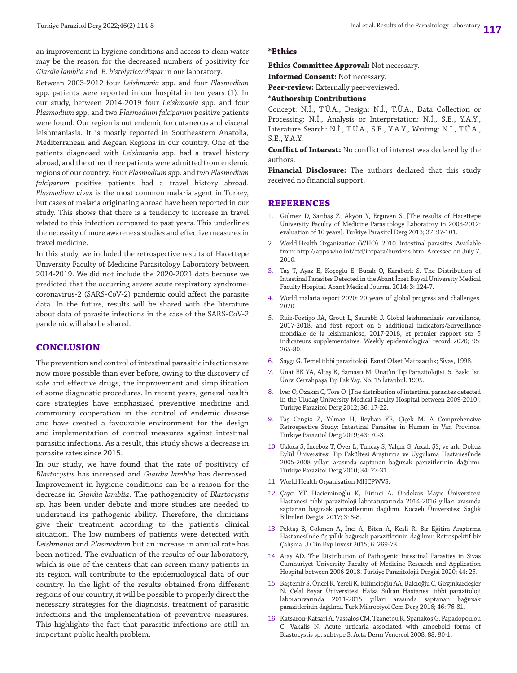an improvement in hygiene conditions and access to clean water may be the reason for the decreased numbers of positivity for *Giardia lamblia* and *E. histolytica/dispar* in our laboratory*.*

Between 2003-2012 four *Leishmania* spp. and four *Plasmodium* spp. patients were reported in our hospital in ten years (1). In our study, between 2014-2019 four *Leishmania* spp. and four *Plasmodium* spp. and two *Plasmodium falciparum* positive patients were found. Our region is not endemic for cutaneous and visceral leishmaniasis. It is mostly reported in Southeastern Anatolia, Mediterranean and Aegean Regions in our country. One of the patients diagnosed with *Leishmania* spp. had a travel history abroad, and the other three patients were admitted from endemic regions of our country. Four *Plasmodium* spp. and two *Plasmodium falciparum* positive patients had a travel history abroad. *Plasmodium vivax* is the most common malaria agent in Turkey, but cases of malaria originating abroad have been reported in our study. This shows that there is a tendency to increase in travel related to this infection compared to past years. This underlines the necessity of more awareness studies and effective measures in travel medicine.

In this study, we included the retrospective results of Hacettepe University Faculty of Medicine Parasitology Laboratory between 2014-2019. We did not include the 2020-2021 data because we predicted that the occurring severe acute respiratory syndromecoronavirus-2 (SARS-CoV-2) pandemic could affect the parasite data. In the future, results will be shared with the literature about data of parasite infections in the case of the SARS-CoV-2 pandemic will also be shared.

## **CONCLUSION**

The prevention and control of intestinal parasitic infections are now more possible than ever before, owing to the discovery of safe and effective drugs, the improvement and simplification of some diagnostic procedures. In recent years, general health care strategies have emphasized preventive medicine and community cooperation in the control of endemic disease and have created a favourable environment for the design and implementation of control measures against intestinal parasitic infections. As a result, this study shows a decrease in parasite rates since 2015.

In our study, we have found that the rate of positivity of *Blastocystis* has increased and *Giardia lamblia* has decreased. Improvement in hygiene conditions can be a reason for the decrease in *Giardia lamblia*. The pathogenicity of *Blastocystis* sp. has been under debate and more studies are needed to understand its pathogenic ability. Therefore, the clinicians give their treatment according to the patient's clinical situation. The low numbers of patients were detected with *Leishmania* and *Plasmodium* but an increase in annual rate has been noticed. The evaluation of the results of our laboratory, which is one of the centers that can screen many patients in its region, will contribute to the epidemiological data of our country. In the light of the results obtained from different regions of our country, it will be possible to properly direct the necessary strategies for the diagnosis, treatment of parasitic infections and the implementation of preventive measures. This highlights the fact that parasitic infections are still an important public health problem.

#### **\*Ethics**

**Ethics Committee Approval:** Not necessary.

**Informed Consent:** Not necessary.

**Peer-review:** Externally peer-reviewed.

#### **\*Authorship Contributions**

Concept: N.İ., T.Ü.A., Design: N.İ., T.Ü.A., Data Collection or Processing: N.İ., Analysis or Interpretation: N.İ., S.E., Y.A.Y., Literature Search: N.İ., T.Ü.A., S.E., Y.A.Y., Writing: N.İ., T.Ü.A., S.E., Y.A.Y.

**Conflict of Interest:** No conflict of interest was declared by the authors.

**Financial Disclosure:** The authors declared that this study received no financial support.

#### **REFERENCES**

- 1. Gülmez D, Sarıbaş Z, Akyön Y, Ergüven S. [The results of Hacettepe University Faculty of Medicine Parasitology Laboratory in 2003-2012: evaluation of 10 years]. Turkiye Parazitol Derg 2013; 37: 97-101.
- 2. World Health Organization (WHO). 2010. Intestinal parasites. Available from: http://apps.who.int/ctd/intpara/burdens.htm. Accessed on July 7, 2010.
- Taş T, Ayaz E, Koçoglu E, Bucak O, Karabörk S. The Distribution of Intestinal Parasites Detected in the Abant İzzet Baysal University Medical Faculty Hospital. Abant Medical Journal 2014; 3: 124-7.
- 4. World malaria report 2020: 20 years of global progress and challenges. 2020.
- 5. Ruiz-Postigo JA, Grout L, Saurabh J. Global leishmaniasis surveillance, 2017-2018, and first report on 5 additional indicators/Surveillance mondiale de la leishmaniose, 2017-2018, et premier rapport sur 5 indicateurs supplementaires. Weekly epidemiological record 2020; 95: 265-80.
- 6. Saygı G. Temel tıbbi parazitoloji. Esnaf Ofset Matbaacılık; Sivas, 1998.
- 7. Unat EK YA, Altaş K, Samastı M. Unat'ın Tıp Parazitolojisi. 5. Baskı İst. Üniv. Cerrahpaşa Tıp Fak Yay. No: 15 İstanbul. 1995.
- 8. lver O, Özakın C, Töre O. [The distribution of intestinal parasites detected in the Uludag University Medical Faculty Hospital between 2009-2010]. Turkiye Parazitol Derg 2012; 36: 17-22.
- 9. Taş Cengiz Z, Yılmaz H, Beyhan YE, Çiçek M. A Comprehensive Retrospective Study: Intestinal Parasites in Human in Van Province. Turkiye Parazitol Derg 2019; 43: 70-3.
- 10. Usluca S, İnceboz T, Över L, Tuncay S, Yalçın G, Arcak ŞS, ve ark. Dokuz Eylül Üniversitesi Tıp Fakültesi Araştırma ve Uygulama Hastanesi'nde 2005-2008 yılları arasında saptanan bağırsak parazitlerinin dağılımı. Türkiye Parazitol Derg 2010; 34: 27-31.
- 11. World Health Organisation MHCPWVS.
- 12. Çaycı YT, Hacieminoğlu K, Birinci A. Ondokuz Mayıs Üniversitesi Hastanesi tıbbi parazitoloji laboratuvarında 2014-2016 yılları arasında saptanan bağırsak parazitlerinin dağılımı. Kocaeli Üniversitesi Sağlık Bilimleri Dergisi 2017; 3: 6-8.
- 13. Pektaş B, Gökmen A, İnci A, Biten A, Keşli R. Bir Eğitim Araştırma Hastanesi'nde üç yıllık bağırsak parazitlerinin dağılımı: Retrospektif bir Çalışma. J Clin Exp Invest 2015; 6: 269-73.
- 14. Ataş AD. The Distribution of Pathogenic Intestinal Parasites in Sivas Cumhuriyet University Faculty of Medicine Research and Application Hospital between 2006-2018. Türkiye Parazitolojii Dergisi 2020; 44: 25.
- 15. Baştemir S, Öncel K, Yereli K, Kilimcioğlu AA, Balcıoğlu C, Girginkardeşler N. Celal Bayar Üniversitesi Hafsa Sultan Hastanesi tıbbi parazitoloji laboratuvarında 2011-2015 yılları arasında saptanan bağırsak parazitlerinin dağılımı. Türk Mikrobiyol Cem Derg 2016; 46: 76-81.
- 16. Katsarou-Katsari A, Vassalos CM, Tzanetou K, Spanakos G, Papadopoulou C, Vakalis N. Acute urticaria associated with amoeboid forms of Blastocystis sp. subtype 3. Acta Derm Venereol 2008; 88: 80-1.